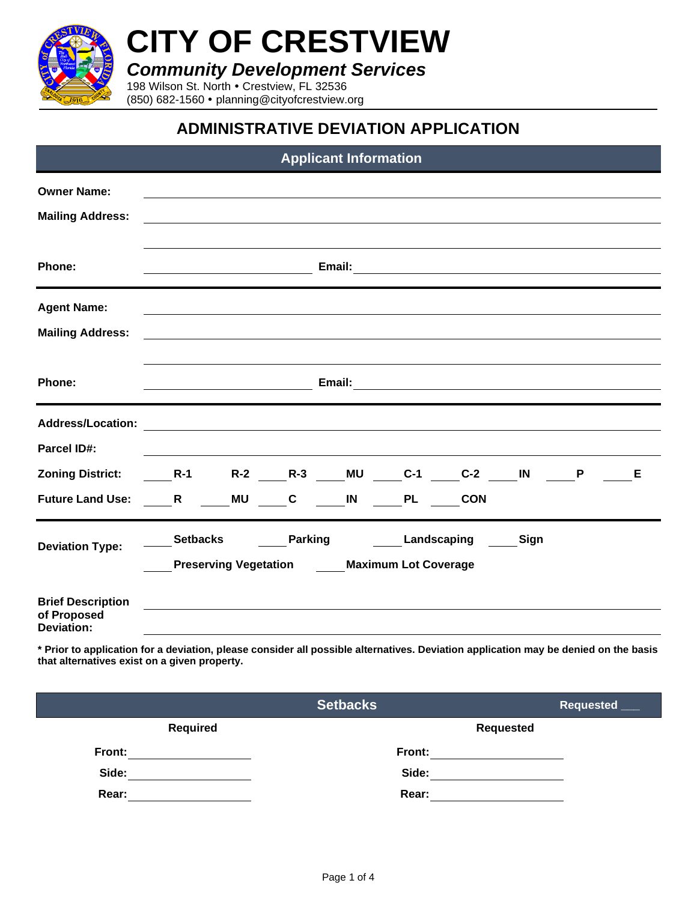

**CITY OF CRESTVIEW**

*Community Development Services*

198 Wilson St. North Crestview, FL 32536 (850) 682-1560 planning@cityofcrestview.org

## **ADMINISTRATIVE DEVIATION APPLICATION**

| <b>Applicant Information</b>                                                                         |                                                                                                                                                                                                                                     |    |                                                                     |    |             |                                     |      |   |   |
|------------------------------------------------------------------------------------------------------|-------------------------------------------------------------------------------------------------------------------------------------------------------------------------------------------------------------------------------------|----|---------------------------------------------------------------------|----|-------------|-------------------------------------|------|---|---|
| <b>Owner Name:</b><br><b>Mailing Address:</b>                                                        |                                                                                                                                                                                                                                     |    |                                                                     |    |             |                                     |      |   |   |
| Phone:                                                                                               | Email:                                                                                                                                                                                                                              |    |                                                                     |    |             |                                     |      |   |   |
| <b>Agent Name:</b><br><b>Mailing Address:</b>                                                        |                                                                                                                                                                                                                                     |    |                                                                     |    |             |                                     |      |   |   |
| Phone:                                                                                               | <b>Email:</b> Email: The Company of the Company of the Company of the Company of the Company of the Company of the Company of the Company of the Company of the Company of the Company of the Company of the Company of the Company |    |                                                                     |    |             |                                     |      |   |   |
| <b>Address/Location:</b><br><b>Parcel ID#:</b><br><b>Zoning District:</b><br><b>Future Land Use:</b> | $R-1$<br>R                                                                                                                                                                                                                          | MU | $\mathbf{C}$                                                        | IN | <b>PL</b>   | R-2 R-3 MU C-1 C-2 IN<br><b>CON</b> |      | P | Е |
| <b>Deviation Type:</b>                                                                               | <b>Setbacks</b>                                                                                                                                                                                                                     |    | <b>Parking</b><br><b>Preserving Vegetation Maximum Lot Coverage</b> |    | Landscaping |                                     | Sign |   |   |
| <b>Brief Description</b><br>of Proposed<br><b>Deviation:</b>                                         |                                                                                                                                                                                                                                     |    |                                                                     |    |             |                                     |      |   |   |

**\* Prior to application for a deviation, please consider all possible alternatives. Deviation application may be denied on the basis that alternatives exist on a given property.**

|                 | <b>Setbacks</b> | Requested ___    |
|-----------------|-----------------|------------------|
| <b>Required</b> |                 | <b>Requested</b> |
| Front:          | Front:          |                  |
| Side:           | Side:           |                  |
| Rear:           | Rear:           |                  |
|                 |                 |                  |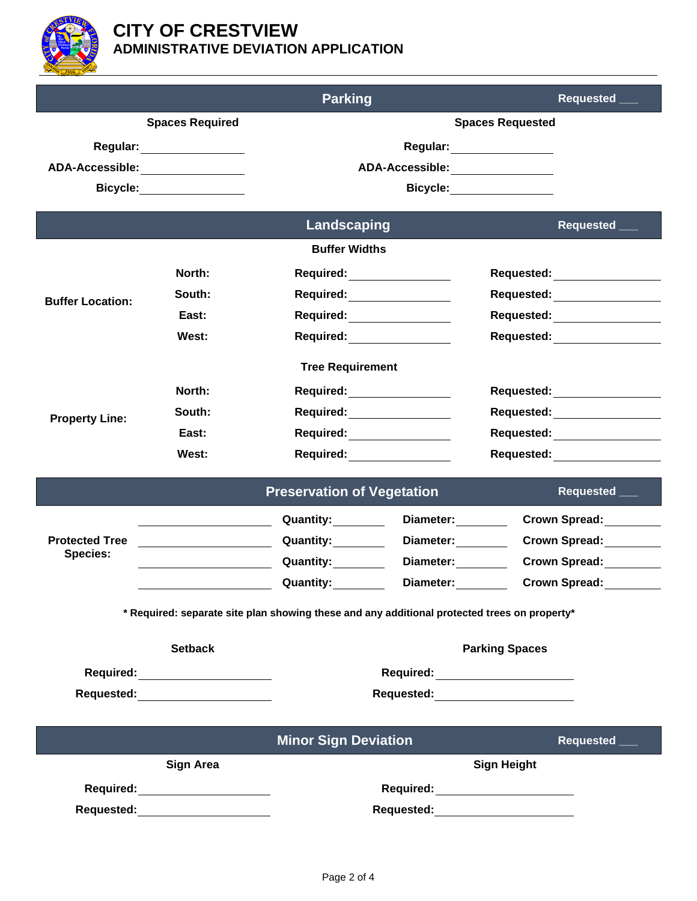

|                                                                                                                                                                                                                                |                | <b>Parking</b>                                                                                                                                                                                                                 |                                 |                                                                                                                                                                                                                                | Requested _                   |  |
|--------------------------------------------------------------------------------------------------------------------------------------------------------------------------------------------------------------------------------|----------------|--------------------------------------------------------------------------------------------------------------------------------------------------------------------------------------------------------------------------------|---------------------------------|--------------------------------------------------------------------------------------------------------------------------------------------------------------------------------------------------------------------------------|-------------------------------|--|
| <b>Spaces Required</b>                                                                                                                                                                                                         |                | <b>Spaces Requested</b>                                                                                                                                                                                                        |                                 |                                                                                                                                                                                                                                |                               |  |
|                                                                                                                                                                                                                                |                | Regular: _____________                                                                                                                                                                                                         |                                 |                                                                                                                                                                                                                                |                               |  |
| ADA-Accessible: ________________                                                                                                                                                                                               |                | ADA-Accessible: ________________                                                                                                                                                                                               |                                 |                                                                                                                                                                                                                                |                               |  |
| Bicycle: ___________                                                                                                                                                                                                           |                | Bicycle: __________                                                                                                                                                                                                            |                                 |                                                                                                                                                                                                                                |                               |  |
|                                                                                                                                                                                                                                |                | <b>Landscaping</b>                                                                                                                                                                                                             |                                 |                                                                                                                                                                                                                                | Requested ___                 |  |
|                                                                                                                                                                                                                                |                | <b>Buffer Widths</b>                                                                                                                                                                                                           |                                 |                                                                                                                                                                                                                                |                               |  |
|                                                                                                                                                                                                                                | North:         | Required: <u>________</u>                                                                                                                                                                                                      |                                 |                                                                                                                                                                                                                                | Requested: <u>_________</u>   |  |
| <b>Buffer Location:</b>                                                                                                                                                                                                        | South:         | Required: _______________                                                                                                                                                                                                      |                                 | Requested: ____________________                                                                                                                                                                                                |                               |  |
|                                                                                                                                                                                                                                | East:          | Required: <u>________</u>                                                                                                                                                                                                      |                                 | Requested: Note that the set of the set of the set of the set of the set of the set of the set of the set of the set of the set of the set of the set of the set of the set of the set of the set of the set of the set of the |                               |  |
|                                                                                                                                                                                                                                | West:          | Required: _____________                                                                                                                                                                                                        |                                 |                                                                                                                                                                                                                                | Requested: ________________   |  |
| <b>Tree Requirement</b>                                                                                                                                                                                                        |                |                                                                                                                                                                                                                                |                                 |                                                                                                                                                                                                                                |                               |  |
|                                                                                                                                                                                                                                | North:         | Required: ______________                                                                                                                                                                                                       |                                 |                                                                                                                                                                                                                                | Requested: <b>Example 20</b>  |  |
| <b>Property Line:</b>                                                                                                                                                                                                          | South:         | Required: Network of the Required:                                                                                                                                                                                             |                                 |                                                                                                                                                                                                                                | Requested: __________________ |  |
|                                                                                                                                                                                                                                | East:          |                                                                                                                                                                                                                                | Required: _____________         |                                                                                                                                                                                                                                | Requested: _______________    |  |
|                                                                                                                                                                                                                                | West:          | Required: _____________                                                                                                                                                                                                        |                                 |                                                                                                                                                                                                                                | Requested: <u>_________</u>   |  |
| <b>Preservation of Vegetation</b><br>Requested ___                                                                                                                                                                             |                |                                                                                                                                                                                                                                |                                 |                                                                                                                                                                                                                                |                               |  |
|                                                                                                                                                                                                                                |                |                                                                                                                                                                                                                                | Diameter: _______               |                                                                                                                                                                                                                                | Crown Spread:                 |  |
| <b>Protected Tree</b>                                                                                                                                                                                                          |                | Quantity:                                                                                                                                                                                                                      | Diameter:                       |                                                                                                                                                                                                                                | <b>Crown Spread:</b>          |  |
| <b>Species:</b>                                                                                                                                                                                                                |                | Quantity:                                                                                                                                                                                                                      | Diameter:                       |                                                                                                                                                                                                                                | <b>Crown Spread:</b>          |  |
|                                                                                                                                                                                                                                |                | <b>Quantity:</b>                                                                                                                                                                                                               | Diameter:                       |                                                                                                                                                                                                                                | <b>Crown Spread:</b>          |  |
| * Required: separate site plan showing these and any additional protected trees on property*                                                                                                                                   |                |                                                                                                                                                                                                                                |                                 |                                                                                                                                                                                                                                |                               |  |
|                                                                                                                                                                                                                                | <b>Setback</b> |                                                                                                                                                                                                                                |                                 | <b>Parking Spaces</b>                                                                                                                                                                                                          |                               |  |
| Required: ___________________                                                                                                                                                                                                  |                | Required: <u>___________________</u>                                                                                                                                                                                           |                                 |                                                                                                                                                                                                                                |                               |  |
| Requested: Exercise of the Second Second Second Second Second Second Second Second Second Second Second Second Second Second Second Second Second Second Second Second Second Second Second Second Second Second Second Second |                | Requested: Production of the Contract of the Contract of the Contract of the Contract of the Contract of the Contract of the Contract of the Contract of the Contract of the Contract of the Contract of the Contract of the C |                                 |                                                                                                                                                                                                                                |                               |  |
|                                                                                                                                                                                                                                |                |                                                                                                                                                                                                                                |                                 |                                                                                                                                                                                                                                |                               |  |
|                                                                                                                                                                                                                                |                | <b>Minor Sign Deviation</b>                                                                                                                                                                                                    |                                 |                                                                                                                                                                                                                                | Requested ___                 |  |
| <b>Sign Area</b>                                                                                                                                                                                                               |                | <b>Sign Height</b>                                                                                                                                                                                                             |                                 |                                                                                                                                                                                                                                |                               |  |
| Required: _____________________                                                                                                                                                                                                |                | Required: ______________________                                                                                                                                                                                               |                                 |                                                                                                                                                                                                                                |                               |  |
| Requested: ______________________                                                                                                                                                                                              |                |                                                                                                                                                                                                                                | Requested: ____________________ |                                                                                                                                                                                                                                |                               |  |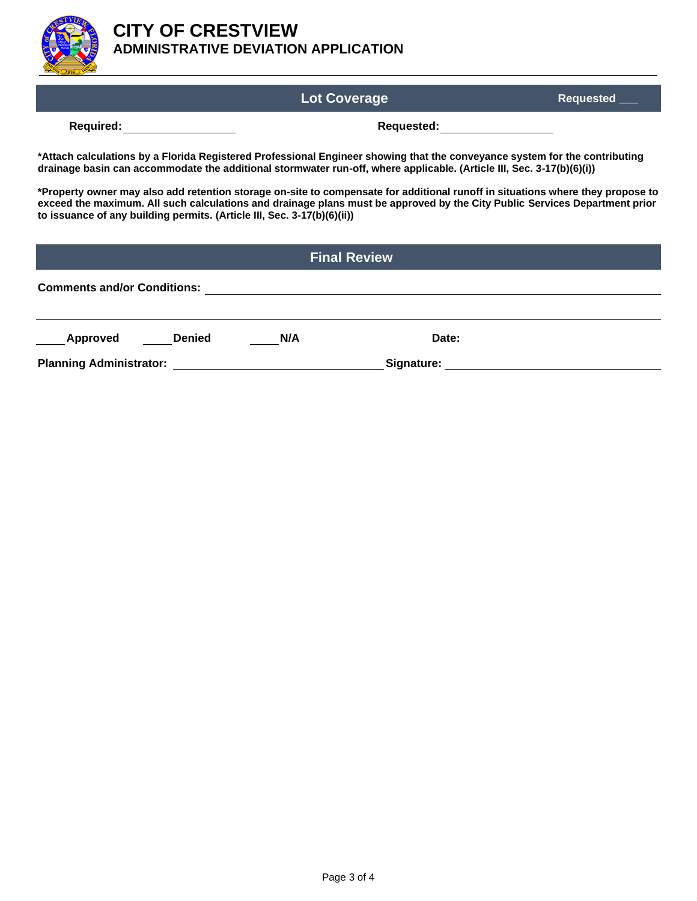

## **CITY OF CRESTVIEW ADMINISTRATIVE DEVIATION APPLICATION**

|                                                                                                                                                                                                                                                                                                                                         | <b>Lot Coverage</b>        | <b>Requested</b> |  |  |  |  |
|-----------------------------------------------------------------------------------------------------------------------------------------------------------------------------------------------------------------------------------------------------------------------------------------------------------------------------------------|----------------------------|------------------|--|--|--|--|
| Required: <u>____________</u>                                                                                                                                                                                                                                                                                                           | Requested: _______________ |                  |  |  |  |  |
| *Attach calculations by a Florida Registered Professional Engineer showing that the conveyance system for the contributing<br>drainage basin can accommodate the additional stormwater run-off, where applicable. (Article III, Sec. 3-17(b)(6)(i))                                                                                     |                            |                  |  |  |  |  |
| *Property owner may also add retention storage on-site to compensate for additional runoff in situations where they propose to<br>exceed the maximum. All such calculations and drainage plans must be approved by the City Public Services Department prior<br>to issuance of any building permits. (Article III, Sec. 3-17(b)(6)(ii)) |                            |                  |  |  |  |  |
| <b>Final Review</b>                                                                                                                                                                                                                                                                                                                     |                            |                  |  |  |  |  |
| <b>Comments and/or Conditions:</b>                                                                                                                                                                                                                                                                                                      |                            |                  |  |  |  |  |
| Approved<br><b>Denied</b>                                                                                                                                                                                                                                                                                                               | N/A                        | Date:            |  |  |  |  |
| <b>Planning Administrator:</b>                                                                                                                                                                                                                                                                                                          | Signature:                 |                  |  |  |  |  |